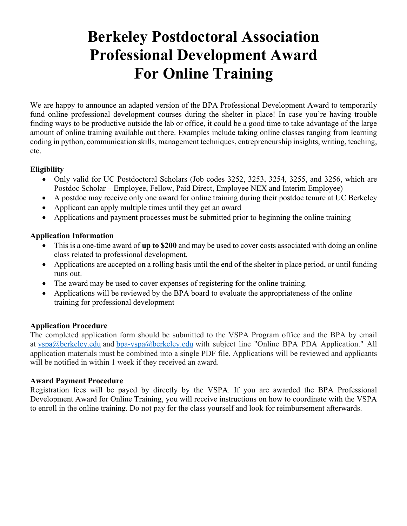# **Berkeley Postdoctoral Association Professional Development Award For Online Training**

We are happy to announce an adapted version of the BPA Professional Development Award to temporarily fund online professional development courses during the shelter in place! In case you're having trouble finding ways to be productive outside the lab or office, it could be a good time to take advantage of the large amount of online training available out there. Examples include taking online classes ranging from learning coding in python, communication skills, management techniques, entrepreneurship insights, writing, teaching, etc.

# **Eligibility**

- Only valid for UC Postdoctoral Scholars (Job codes 3252, 3253, 3254, 3255, and 3256, which are Postdoc Scholar – Employee, Fellow, Paid Direct, Employee NEX and Interim Employee)
- A postdoc may receive only one award for online training during their postdoc tenure at UC Berkeley
- Applicant can apply multiple times until they get an award
- Applications and payment processes must be submitted prior to beginning the online training

# **Application Information**

- This is a one-time award of **up to \$200** and may be used to cover costs associated with doing an online class related to professional development.
- Applications are accepted on a rolling basis until the end of the shelter in place period, or until funding runs out.
- The award may be used to cover expenses of registering for the online training.
- Applications will be reviewed by the BPA board to evaluate the appropriateness of the online training for professional development

#### **Application Procedure**

The completed application form should be submitted to the VSPA Program office and the BPA by email at vspa@berkeley.edu and bpa-vspa@berkeley.edu with subject line "Online BPA PDA Application." All application materials must be combined into a single PDF file. Applications will be reviewed and applicants will be notified in within 1 week if they received an award.

#### **Award Payment Procedure**

Registration fees will be payed by directly by the VSPA. If you are awarded the BPA Professional Development Award for Online Training, you will receive instructions on how to coordinate with the VSPA to enroll in the online training. Do not pay for the class yourself and look for reimbursement afterwards.